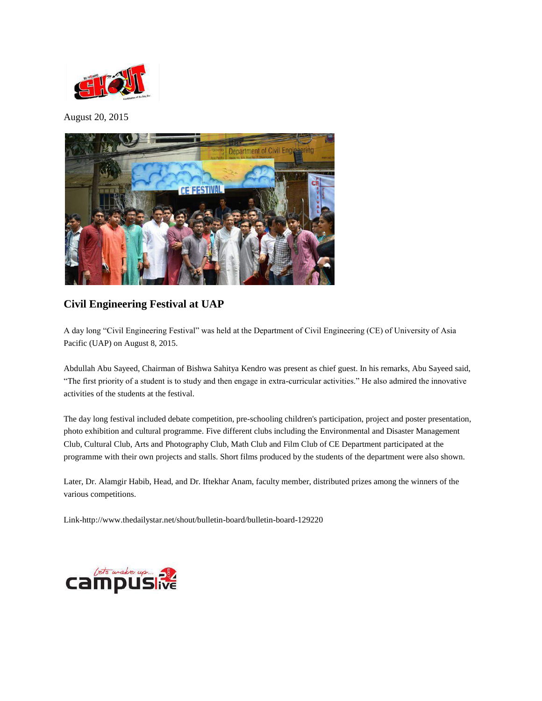

August 20, 2015



## **Civil Engineering Festival at UAP**

A day long "Civil Engineering Festival" was held at the Department of Civil Engineering (CE) of University of Asia Pacific (UAP) on August 8, 2015.

Abdullah Abu Sayeed, Chairman of Bishwa Sahitya Kendro was present as chief guest. In his remarks, Abu Sayeed said, "The first priority of a student is to study and then engage in extra-curricular activities." He also admired the innovative activities of the students at the festival.

The day long festival included debate competition, pre-schooling children's participation, project and poster presentation, photo exhibition and cultural programme. Five different clubs including the Environmental and Disaster Management Club, Cultural Club, Arts and Photography Club, Math Club and Film Club of CE Department participated at the programme with their own projects and stalls. Short films produced by the students of the department were also shown.

Later, Dr. Alamgir Habib, Head, and Dr. Iftekhar Anam, faculty member, distributed prizes among the winners of the various competitions.

Link-http://www.thedailystar.net/shout/bulletin-board/bulletin-board-129220

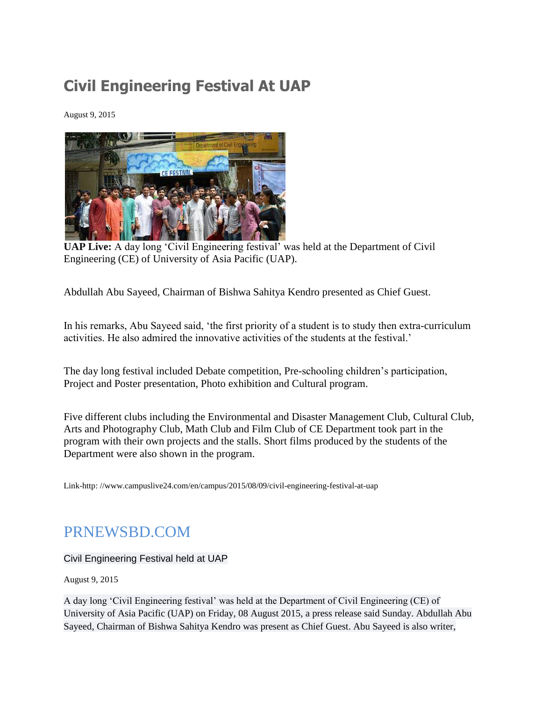## **Civil Engineering Festival At UAP**

August 9, 2015



**UAP Live:** A day long 'Civil Engineering festival' was held at the Department of Civil Engineering (CE) of University of Asia Pacific (UAP).

Abdullah Abu Sayeed, Chairman of Bishwa Sahitya Kendro presented as Chief Guest.

In his remarks, Abu Sayeed said, 'the first priority of a student is to study then extra-curriculum activities. He also admired the innovative activities of the students at the festival.'

The day long festival included Debate competition, Pre-schooling children's participation, Project and Poster presentation, Photo exhibition and Cultural program.

Five different clubs including the Environmental and Disaster Management Club, Cultural Club, Arts and Photography Club, Math Club and Film Club of CE Department took part in the program with their own projects and the stalls. Short films produced by the students of the Department were also shown in the program.

Link-http: //www.campuslive24.com/en/campus/2015/08/09/civil-engineering-festival-at-uap

## PRNEWSBD.COM

Civil Engineering Festival held at UAP

August 9, 2015

A day long 'Civil Engineering festival' was held at the Department of Civil Engineering (CE) of University of Asia Pacific (UAP) on Friday, 08 August 2015, a press release said Sunday. Abdullah Abu Sayeed, Chairman of Bishwa Sahitya Kendro was present as Chief Guest. Abu Sayeed is also writer,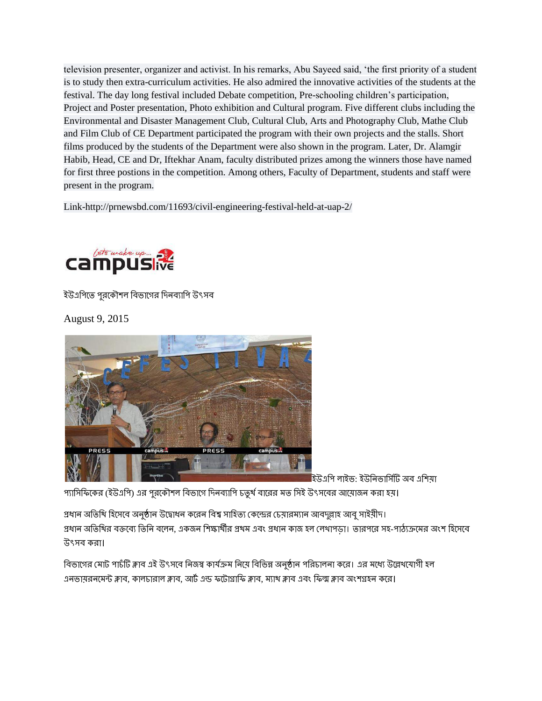television presenter, organizer and activist. In his remarks, Abu Sayeed said, 'the first priority of a student is to study then extra-curriculum activities. He also admired the innovative activities of the students at the festival. The day long festival included Debate competition, Pre-schooling children's participation, Project and Poster presentation, Photo exhibition and Cultural program. Five different clubs including the Environmental and Disaster Management Club, Cultural Club, Arts and Photography Club, Mathe Club and Film Club of CE Department participated the program with their own projects and the stalls. Short films produced by the students of the Department were also shown in the program. Later, Dr. Alamgir Habib, Head, CE and Dr, Iftekhar Anam, faculty distributed prizes among the winners those have named for first three postions in the competition. Among others, Faculty of Department, students and staff were present in the program.

Link-http://prnewsbd.com/11693/civil-engineering-festival-held-at-uap-2/



ইউএপিতে পুরকৌশল বিভাগের দিনব্যাপি উৎসব

August 9, 2015



ইউএপি লাইভ: ইউনিভার্সিটি অব এশিয়া

প্যাসিফিকের (ইউএপি) এর পরকৌশল বিভাগে দিনব্যাপি চতর্থ বারের মত সিই উৎসবের আয়োজন করা হয়।

প্রধান অতিথি হিসেবে অনষ্ঠান উদ্বোধন করেন বিশ্ব সাহিত্য কেন্দ্রের চেয়ারম্যান আবদল্লাহ আব সাইয়ীদ। প্রধান অতিথির বক্তব্যে তিনি বলেন, একজন শিক্ষার্থীর প্রথম এবং প্রধান কাজ হল লেখাপডা। তারপরে সহ-পাঠ্যক্রমের অংশ হিসেবে উৎসব করা।

বিভাগের মোট পাচঁটি ক্লাব এই উৎসবে নিজস্ব কার্যক্রম নিয়ে বিভিন্ন অনুষ্ঠান পরিচালনা করে। এর মধ্যে উল্লেখযোগী হল এনভায়রনমেন্ট ক্লাব, কালচারাল ক্লাব, আর্ট এন্ড ফটোগ্রাফি ক্লাব, ম্যাথ ক্লাব এবং ফিল্ম ক্লাব অংশগ্রহন করে।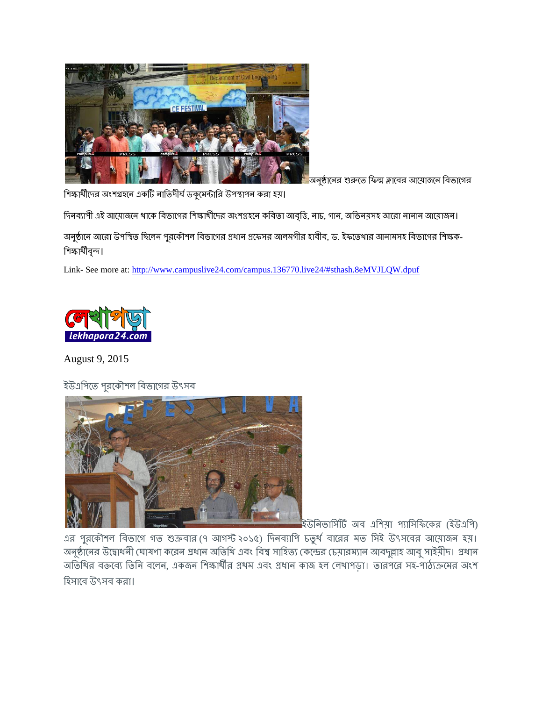

অনুষ্ঠানের শুরুতে ফিল্ম ক্লাবের আয়োজনে বিভাগের

শিক্ষার্থীদের অংশগ্রহনে একটি নাতিদীর্ঘ ডকুমেন্টারি উপস্থাপন করা হয়।

দিনব্যাপী এই আয়োজনে থাকে বিভাগের শিক্ষার্থীদের অংশগ্রহনে কবিতা আবৃত্তি, নাচ, গান, অভিনয়সহ আরো নানান আয়োজন।

অনুষ্ঠানে আরো উপস্থিত ছিলেন পুরকৌশল বিভাগের প্রধান প্রফেসর আলমগীর হাবীব, ড. ইফতেথার আনামসহ বিভাগের শিক্ষক-শিক্ষাৰ্থীবৃন্দ।

Link- See more at:<http://www.campuslive24.com/campus.136770.live24/#sthash.8eMVJLQW.dpuf>



August 9, 2015

ইউএপিতে পুরকৌশল বিভাগের উৎসব



ইউনিভার্সিটি অব এশিয়া প্যাসিফিকের (ইউএপি)

এর পুরকৌশল বিভাগে গত শুক্রবার (৭ আগস্ট ২০১৫) দিনব্যাপি চতুর্থ বারের মত সিই উৎসবের আয়োজন হয়। অনুষ্ঠানের উদ্বোধনী ঘোষণা করেন প্রধান অতিথি এবং বিশ্ব সাহিত্য কেন্দ্রের চেয়ারম্যান আবদুল্লাহ আবু সাইয়ীদ। প্রধান অতিথির বক্তব্যে তিনি বলেন, একজন শিক্ষার্থীর প্রথম এবং প্রধান কাজ হল লেখাপড়া। তারপরে সহ-পাঠ্যক্রমের অংশ হিসাবে উৎসব করা।